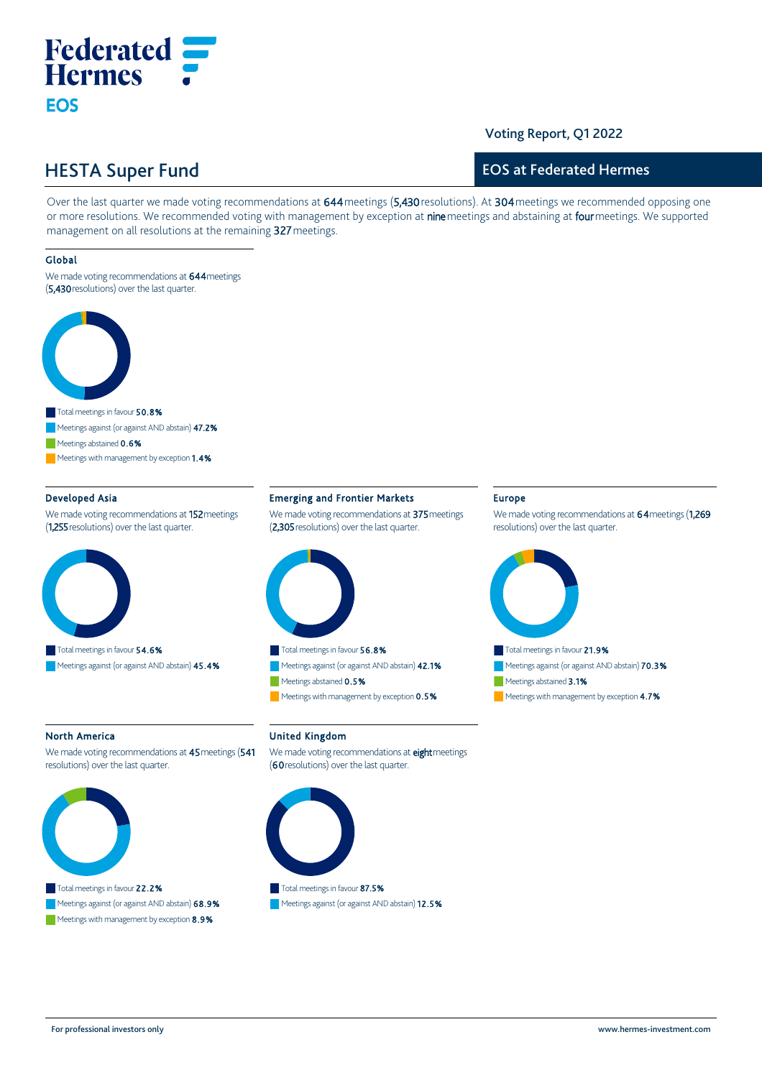# **Federated Hermes EOS**

### Voting Report, Q1 2022

## HESTA Super Fund

### EOS at Federated Hermes

Over the last quarter we made voting recommendations at 644 meetings (5,430 resolutions). At 304 meetings we recommended opposing one or more resolutions. We recommended voting with management by exception at nine meetings and abstaining at four meetings. We supported management on all resolutions at the remaining 327 meetings.

### Global

We made voting recommendations at 644 meetings (5,430 resolutions) over the last quarter.



Meetings abstained 0.6%

Meetings with management by exception 1.4%

### Developed Asia

We made voting recommendations at 152 meetings (1,255 resolutions) over the last quarter.



### Emerging and Frontier Markets

We made voting recommendations at 375 meetings (2,305 resolutions) over the last quarter.



Meetings against (or against AND abstain) 42.1% Meetings abstained 0.5%  $\blacksquare$  Meetings with management by exception  $0.5\%$ 

#### North America

We made voting recommendations at 45 meetings (541 resolutions) over the last quarter.



### Total meetings in favour 22.2% Meetings against (or against AND abstain) 68.9%

Meetings with management by exception 8.9%

### United Kingdom

We made voting recommendations at **eight** meetings (60 resolutions) over the last quarter.



Meetings against (or against AND abstain) 12.5%

### Europe

We made voting recommendations at 64 meetings (1,269 resolutions) over the last quarter.